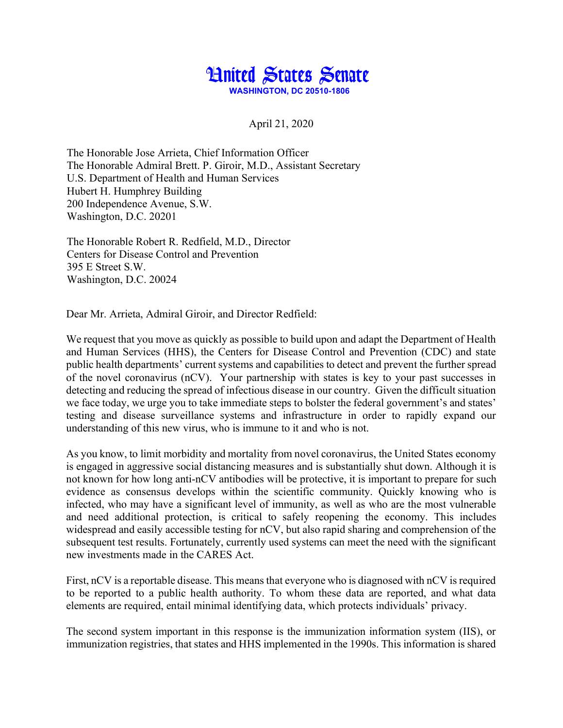

April 21, 2020

The Honorable Jose Arrieta, Chief Information Officer The Honorable Admiral Brett. P. Giroir, M.D., Assistant Secretary U.S. Department of Health and Human Services Hubert H. Humphrey Building 200 Independence Avenue, S.W. Washington, D.C. 20201

The Honorable Robert R. Redfield, M.D., Director Centers for Disease Control and Prevention 395 E Street S.W. Washington, D.C. 20024

Dear Mr. Arrieta, Admiral Giroir, and Director Redfield:

We request that you move as quickly as possible to build upon and adapt the Department of Health and Human Services (HHS), the Centers for Disease Control and Prevention (CDC) and state public health departments' current systems and capabilities to detect and prevent the further spread of the novel coronavirus (nCV). Your partnership with states is key to your past successes in detecting and reducing the spread of infectious disease in our country. Given the difficult situation we face today, we urge you to take immediate steps to bolster the federal government's and states' testing and disease surveillance systems and infrastructure in order to rapidly expand our understanding of this new virus, who is immune to it and who is not.

As you know, to limit morbidity and mortality from novel coronavirus, the United States economy is engaged in aggressive social distancing measures and is substantially shut down. Although it is not known for how long anti-nCV antibodies will be protective, it is important to prepare for such evidence as consensus develops within the scientific community. Quickly knowing who is infected, who may have a significant level of immunity, as well as who are the most vulnerable and need additional protection, is critical to safely reopening the economy. This includes widespread and easily accessible testing for nCV, but also rapid sharing and comprehension of the subsequent test results. Fortunately, currently used systems can meet the need with the significant new investments made in the CARES Act.

First, nCV is a reportable disease. This means that everyone who is diagnosed with nCV is required to be reported to a public health authority. To whom these data are reported, and what data elements are required, entail minimal identifying data, which protects individuals' privacy.

The second system important in this response is the immunization information system (IIS), or immunization registries, that states and HHS implemented in the 1990s. This information is shared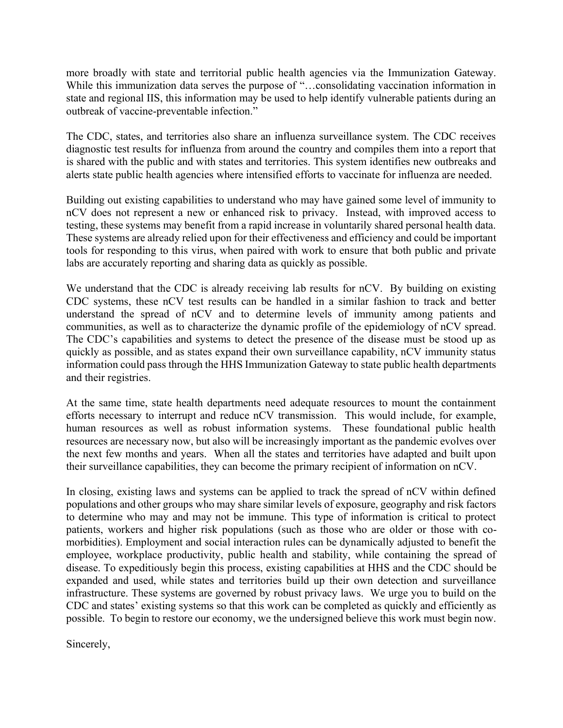more broadly with state and territorial public health agencies via the Immunization Gateway. While this immunization data serves the purpose of "...consolidating vaccination information in state and regional IIS, this information may be used to help identify vulnerable patients during an outbreak of vaccine-preventable infection."

The CDC, states, and territories also share an influenza surveillance system. The CDC receives diagnostic test results for influenza from around the country and compiles them into a report that is shared with the public and with states and territories. This system identifies new outbreaks and alerts state public health agencies where intensified efforts to vaccinate for influenza are needed.

Building out existing capabilities to understand who may have gained some level of immunity to nCV does not represent a new or enhanced risk to privacy. Instead, with improved access to testing, these systems may benefit from a rapid increase in voluntarily shared personal health data. These systems are already relied upon for their effectiveness and efficiency and could be important tools for responding to this virus, when paired with work to ensure that both public and private labs are accurately reporting and sharing data as quickly as possible.

We understand that the CDC is already receiving lab results for nCV. By building on existing CDC systems, these nCV test results can be handled in a similar fashion to track and better understand the spread of nCV and to determine levels of immunity among patients and communities, as well as to characterize the dynamic profile of the epidemiology of nCV spread. The CDC's capabilities and systems to detect the presence of the disease must be stood up as quickly as possible, and as states expand their own surveillance capability, nCV immunity status information could pass through the HHS Immunization Gateway to state public health departments and their registries.

At the same time, state health departments need adequate resources to mount the containment efforts necessary to interrupt and reduce nCV transmission. This would include, for example, human resources as well as robust information systems. These foundational public health resources are necessary now, but also will be increasingly important as the pandemic evolves over the next few months and years. When all the states and territories have adapted and built upon their surveillance capabilities, they can become the primary recipient of information on nCV.

In closing, existing laws and systems can be applied to track the spread of nCV within defined populations and other groups who may share similar levels of exposure, geography and risk factors to determine who may and may not be immune. This type of information is critical to protect patients, workers and higher risk populations (such as those who are older or those with comorbidities). Employment and social interaction rules can be dynamically adjusted to benefit the employee, workplace productivity, public health and stability, while containing the spread of disease. To expeditiously begin this process, existing capabilities at HHS and the CDC should be expanded and used, while states and territories build up their own detection and surveillance infrastructure. These systems are governed by robust privacy laws. We urge you to build on the CDC and states' existing systems so that this work can be completed as quickly and efficiently as possible. To begin to restore our economy, we the undersigned believe this work must begin now.

Sincerely,